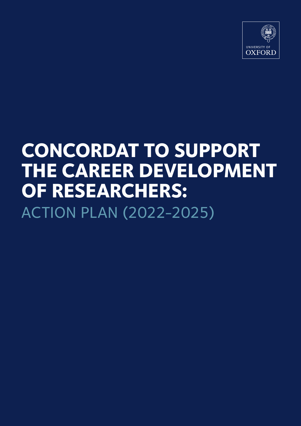

# **CONCORDAT TO SUPPORT THE CAREER DEVELOPMENT OF RESEARCHERS:** ACTION PLAN (2022-2025)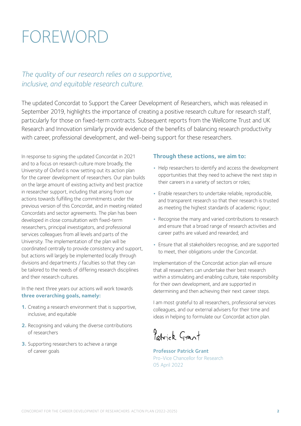# FOREWORD

## *The quality of our research relies on a supportive, inclusive, and equitable research culture.*

The updated Concordat to Support the Career Development of Researchers, which was released in September 2019, highlights the importance of creating a positive research culture for research staff, particularly for those on fixed-term contracts. Subsequent reports from the Wellcome Trust and UK Research and Innovation similarly provide evidence of the benefits of balancing research productivity with career, professional development, and well-being support for these researchers.

In response to signing the updated Concordat in 2021 and to a focus on research culture more broadly, the University of Oxford is now setting out its action plan for the career development of researchers. Our plan builds on the large amount of existing activity and best practice in researcher support, including that arising from our actions towards fulfilling the commitments under the previous version of this Concordat, and in meeting related Concordats and sector agreements. The plan has been developed in close consultation with fixed-term researchers, principal investigators, and professional services colleagues from all levels and parts of the University. The implementation of the plan will be coordinated centrally to provide consistency and support, but actions will largely be implemented locally through divisions and departments / faculties so that they can be tailored to the needs of differing research disciplines and their research cultures.

In the next three years our actions will work towards **three overarching goals, namely:**

- **1.** Creating a research environment that is supportive, inclusive, and equitable
- **2.** Recognising and valuing the diverse contributions of researchers
- **3.** Supporting researchers to achieve a range of career goals

### **Through these actions, we aim to:**

- **•** Help researchers to identify and access the development opportunities that they need to achieve the next step in their careers in a variety of sectors or roles;
- Enable researchers to undertake reliable, reproducible, and transparent research so that their research is trusted as meeting the highest standards of academic rigour;
- **•** Recognise the many and varied contributions to research and ensure that a broad range of research activities and career paths are valued and rewarded; and
- Ensure that all stakeholders recognise, and are supported to meet, their obligations under the Concordat.

Implementation of the Concordat action plan will ensure that all researchers can undertake their best research within a stimulating and enabling culture, take responsibility for their own development, and are supported in determining and then achieving their next career steps.

I am most grateful to all researchers, professional services colleagues, and our external advisers for their time and ideas in helping to formulate our Concordat action plan.

Patrick Grant

Professor Patrick Grant Pro-Vice Chancellor for Research 05 April 2022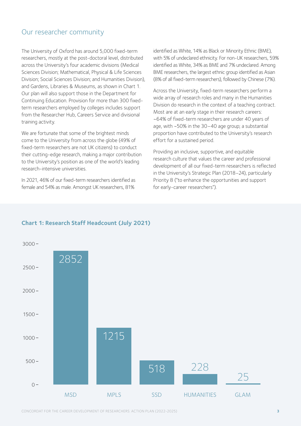## Our researcher community

The University of Oxford has around 5,000 fixed-term researchers, mostly at the post-doctoral level, distributed across the University's four academic divisions (Medical Sciences Division; Mathematical, Physical & Life Sciences Division; Social Sciences Division; and Humanities Division), and Gardens, Libraries & Museums, as shown in Chart 1. Our plan will also support those in the Department for Continuing Education. Provision for more than 300 fixedterm researchers employed by colleges includes support from the Researcher Hub, Careers Service and divisional training activity.

We are fortunate that some of the brightest minds come to the University from across the globe (49% of fixed-term researchers are not UK citizens) to conduct their cutting-edge research, making a major contribution to the University's position as one of the world's leading research-intensive universities.

In 2021, 46% of our fixed-term researchers identified as female and 54% as male. Amongst UK researchers, 81%

identified as White, 14% as Black or Minority Ethnic (BME), with 5% of undeclared ethnicity. For non-UK researchers, 59% identified as White, 34% as BME and 7% undeclared. Among BME researchers, the largest ethnic group identified as Asian (8% of all fixed-term researchers), followed by Chinese (7%).

Across the University, fixed-term researchers perform a wide array of research roles and many in the Humanities Division do research in the context of a teaching contract. Most are at an early stage in their research careers: ~64% of fixed-term researchers are under 40 years of age, with ~50% in the 30–40 age group; a substantial proportion have contributed to the University's research effort for a sustained period.

Providing an inclusive, supportive, and equitable research culture that values the career and professional development of all our fixed-term researchers is reflected in the University's Strategic Plan (2018–24), particularly Priority 8 ("to enhance the opportunities and support for early-career researchers").



## **Chart 1: Research Staff Headcount (July 2021)**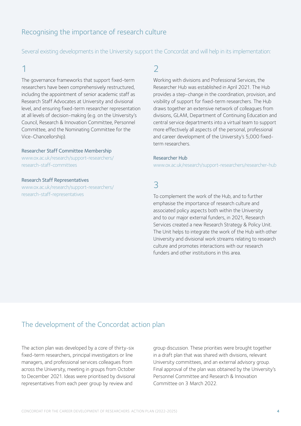## Recognising the importance of research culture

Several existing developments in the University support the Concordat and will help in its implementation:

# 1

The governance frameworks that support fixed-term researchers have been comprehensively restructured, including the appointment of senior academic staff as Research Staff Advocates at University and divisional level, and ensuring fixed-term researcher representation at all levels of decision-making (e.g. on the University's Council, Research & Innovation Committee, Personnel Committee, and the Nominating Committee for the Vice-Chancellorship).

### [Researcher Staff Committee Membership](https://www.ox.ac.uk/research/support-researchers/research-staff-committees)

[www.ox.ac.uk/research/support-researchers/](https://www.ox.ac.uk/research/support-researchers/research-staff-committees) [research-staff-committees](https://www.ox.ac.uk/research/support-researchers/research-staff-committees)

### [Research Staff Representatives](https://www.ox.ac.uk/research/support-researchers/research-staff-representatives)

[www.ox.ac.uk/research/support-researchers/](https://www.ox.ac.uk/research/support-researchers/research-staff-representatives) [research-staff-representatives](https://www.ox.ac.uk/research/support-researchers/research-staff-representatives)

## [2](https://www.ox.ac.uk/research/support-researchers/research-staff-committees)

Working with divisions and Professional Services, the Researcher Hub was established in April 2021. The Hub provides a step-change in the coordination, provision, and visibility of support for fixed-term researchers. The Hub draws together an extensive network of colleagues from divisions, GLAM, Department of Continuing Education and central service departments into a virtual team to support more effectively all aspects of the personal, professional and career development of the University's 5,000 fixedterm researchers.

### [Researcher Hub](https://www.ox.ac.uk/research/support-researchers/researcher-hub)

www.ox.ac.uk/research/support-researchers/researcher-hub

# 3

To complement the work of the Hub, and to further emphasise the importance of research culture and associated policy aspects both within the University and to our major external funders, in 2021, Research Services created a new Research Strategy & Policy Unit. The Unit helps to integrate the work of the Hub with other University and divisional work streams relating to research culture and promotes interactions with our research funders and other institutions in this area.

## The development of the Concordat action plan

The action plan was developed by a core of thirty-six fixed-term researchers, principal investigators or line managers, and professional services colleagues from across the University, meeting in groups from October to December 2021. Ideas were prioritised by divisional representatives from each peer group by review and

group discussion. These priorities were brought together in a draft plan that was shared with divisions, relevant University committees, and an external advisory group. Final approval of the plan was obtained by the University's Personnel Committee and Research & Innovation Committee on 3 March 2022.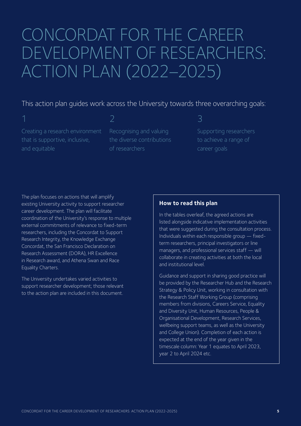# CONCORDAT FOR THE CAREER DEVELOPMENT OF RESEARCHERS: ACTION PLAN (2022–2025)

## This action plan guides work across the University towards three overarching goals:

Creating a research environment that is supportive, inclusive, and equitable

Recognising and valuing the diverse contributions of researchers

## 3

Supporting researchers to achieve a range of career goals

The plan focuses on actions that will amplify existing University activity to support researcher career development. The plan will facilitate coordination of the University's response to multiple external commitments of relevance to fixed-term researchers, including the Concordat to Support Research Integrity, the Knowledge Exchange Concordat, the San Francisco Declaration on Research Assessment (DORA), HR Excellence in Research award, and Athena Swan and Race Equality Charters.

The University undertakes varied activities to support researcher development; those relevant to the action plan are included in this document.

## **How to read this plan**

In the tables overleaf, the agreed actions are listed alongside indicative implementation activities that were suggested during the consultation process. Individuals within each responsible group — fixedterm researchers, principal investigators or line managers, and professional services staff — will collaborate in creating activities at both the local and institutional level.

Guidance and support in sharing good practice will be provided by the Researcher Hub and the Research Strategy & Policy Unit, working in consultation with the Research Staff Working Group (comprising members from divisions, Careers Service, Equality and Diversity Unit, Human Resources, People & Organisational Development, Research Services, wellbeing support teams, as well as the University and College Union). Completion of each action is expected at the end of the year given in the timescale column: Year 1 equates to April 2023, year 2 to April 2024 etc.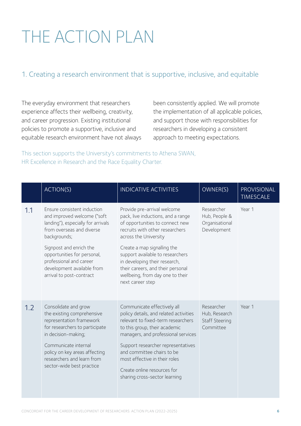# THE ACTION PLAN

## 1. Creating a research environment that is supportive, inclusive, and equitable

The everyday environment that researchers experience affects their wellbeing, creativity, and career progression. Existing institutional policies to promote a supportive, inclusive and equitable research environment have not always been consistently applied. We will promote the implementation of all applicable policies, and support those with responsibilities for researchers in developing a consistent approach to meeting expectations.

This section supports the University's commitments to Athena SWAN, HR Excellence in Research and the Race Equality Charter.

|     | ACTION(S)                                                                                                                                                                                                                                                   | <b>INDICATIVE ACTIVITIES</b>                                                                                                                                                                                                                                                                                                                             | OWNER(S)                                                     | PROVISIONAL<br><b>TIMESCALE</b> |
|-----|-------------------------------------------------------------------------------------------------------------------------------------------------------------------------------------------------------------------------------------------------------------|----------------------------------------------------------------------------------------------------------------------------------------------------------------------------------------------------------------------------------------------------------------------------------------------------------------------------------------------------------|--------------------------------------------------------------|---------------------------------|
| 1.1 | Ensure consistent induction<br>and improved welcome ("soft<br>landing"), especially for arrivals<br>from overseas and diverse<br>backgrounds;<br>Signpost and enrich the<br>opportunities for personal,                                                     | Provide pre-arrival welcome<br>pack, live inductions, and a range<br>of opportunities to connect new<br>recruits with other researchers<br>across the University<br>Create a map signalling the<br>support available to researchers                                                                                                                      | Researcher<br>Hub, People &<br>Organisational<br>Development | Year 1                          |
|     | professional and career<br>development available from<br>arrival to post-contract                                                                                                                                                                           | in developing their research,<br>their careers, and their personal<br>wellbeing, from day one to their<br>next career step                                                                                                                                                                                                                               |                                                              |                                 |
| 1.2 | Consolidate and grow<br>the existing comprehensive<br>representation framework<br>for researchers to participate<br>in decision-making;<br>Communicate internal<br>policy on key areas affecting<br>researchers and learn from<br>sector-wide best practice | Communicate effectively all<br>policy details, and related activities<br>relevant to fixed-term researchers<br>to this group, their academic<br>managers, and professional services<br>Support researcher representatives<br>and committee chairs to be<br>most effective in their roles<br>Create online resources for<br>sharing cross-sector learning | Researcher<br>Hub, Research<br>Staff Steering<br>Committee   | Year 1                          |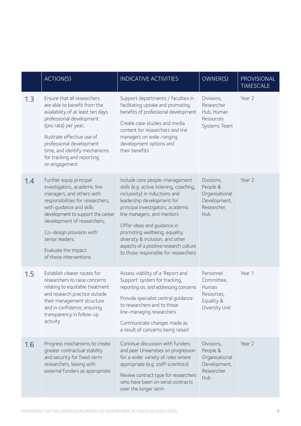|     | <b>ACTION(S)</b>                                                                                                                                                                                                                                                                                                          | <b>INDICATIVE ACTIVITIES</b>                                                                                                                                                                                                                                                                                                                                                                         | OWNER(S)                                                                       | PROVISIONAL<br><b>TIMESCALE</b> |
|-----|---------------------------------------------------------------------------------------------------------------------------------------------------------------------------------------------------------------------------------------------------------------------------------------------------------------------------|------------------------------------------------------------------------------------------------------------------------------------------------------------------------------------------------------------------------------------------------------------------------------------------------------------------------------------------------------------------------------------------------------|--------------------------------------------------------------------------------|---------------------------------|
| 1.3 | Ensure that all researchers<br>are able to benefit from the<br>availability of at least ten days<br>professional development<br>(pro rata) per year;<br>Illustrate effective use of<br>professional development<br>time, and identify mechanisms<br>for tracking and reporting<br>on engagement                           | Support departments / faculties in<br>facilitating uptake and promoting<br>benefits of professional development<br>Create case studies and media<br>content for researchers and line<br>managers on wide-ranging<br>development options and<br>their benefits                                                                                                                                        | Divisions,<br>Researcher<br>Hub, Human<br>Resources<br>Systems Team            | Year 2                          |
| 1.4 | Further equip principal<br>investigators, academic line<br>managers, and others with<br>responsibilities for researchers,<br>with guidance and skills<br>development to support the career<br>development of researchers;<br>Co-design provision with<br>senior leaders;<br>Evaluate the impact<br>of these interventions | Include core people-management<br>skills (e.g. active listening, coaching,<br>inclusivity) in inductions and<br>leadership development for<br>principal investigators, academic<br>line managers, and mentors<br>Offer ideas and guidance in<br>promoting wellbeing, equality,<br>diversity & inclusion, and other<br>aspects of a positive research culture<br>to those responsible for researchers | Divisions,<br>People &<br>Organisational<br>Development,<br>Researcher<br>Hub  | Year 2                          |
| 1.5 | Establish clearer routes for<br>researchers to raise concerns<br>relating to equitable treatment<br>and research practice outside<br>their management structure<br>and in confidence, ensuring<br>transparency in follow-up<br>activity                                                                                   | Assess viability of a 'Report and<br>Support' system for tracking,<br>reporting on, and addressing concerns<br>Provide specialist central guidance<br>to researchers and to those<br>line-managing researchers<br>Communicate changes made as<br>a result of concerns being raised                                                                                                                   | Personnel<br>Committee,<br>Human<br>Resources,<br>Equality &<br>Diversity Unit | Year 1                          |
| 1.6 | Progress mechanisms to create<br>greater contractual stability<br>and security for fixed-term<br>researchers, liaising with<br>external funders as appropriate                                                                                                                                                            | Continue discussion with funders<br>and peer Universities on progression<br>for a wider variety of roles where<br>appropriate (e.g. staff scientists)<br>Review contract type for researchers<br>who have been on serial contracts<br>over the longer term                                                                                                                                           | Divisions,<br>People &<br>Organisational<br>Development,<br>Researcher<br>Hub  | Year 2                          |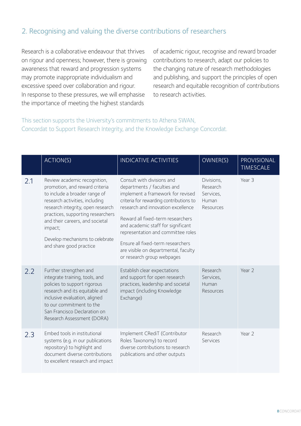## 2. Recognising and valuing the diverse contributions of researchers

Research is a collaborative endeavour that thrives on rigour and openness; however, there is growing awareness that reward and progression systems may promote inappropriate individualism and excessive speed over collaboration and rigour. In response to these pressures, we will emphasise the importance of meeting the highest standards

of academic rigour, recognise and reward broader contributions to research, adapt our policies to the changing nature of research methodologies and publishing, and support the principles of open research and equitable recognition of contributions to research activities.

This section supports the University's commitments to Athena SWAN, Concordat to Support Research Integrity, and the Knowledge Exchange Concordat.

|     | <b>ACTION(S)</b>                                                                                                                                                                                                                                                                                                        | <b>INDICATIVE ACTIVITIES</b>                                                                                                                                                                                                                                                                                                                                                                                | OWNER(S)                                                  | PROVISIONAL<br><b>TIMESCALE</b> |
|-----|-------------------------------------------------------------------------------------------------------------------------------------------------------------------------------------------------------------------------------------------------------------------------------------------------------------------------|-------------------------------------------------------------------------------------------------------------------------------------------------------------------------------------------------------------------------------------------------------------------------------------------------------------------------------------------------------------------------------------------------------------|-----------------------------------------------------------|---------------------------------|
| 2.1 | Review academic recognition,<br>promotion, and reward criteria<br>to include a broader range of<br>research activities, including<br>research integrity, open research<br>practices, supporting researchers<br>and their careers, and societal<br>impact;<br>Develop mechanisms to celebrate<br>and share good practice | Consult with divisions and<br>departments / faculties and<br>implement a framework for revised<br>criteria for rewarding contributions to<br>research and innovation excellence<br>Reward all fixed-term researchers<br>and academic staff for significant<br>representation and committee roles<br>Ensure all fixed-term researchers<br>are visible on departmental, faculty<br>or research group webpages | Divisions,<br>Research<br>Services,<br>Human<br>Resources | Year 3                          |
| 2.2 | Further strengthen and<br>integrate training, tools, and<br>policies to support rigorous<br>research and its equitable and<br>inclusive evaluation, aligned<br>to our commitment to the<br>San Francisco Declaration on<br>Research Assessment (DORA)                                                                   | Establish clear expectations<br>and support for open research<br>practices, leadership and societal<br>impact (including Knowledge<br>Exchange)                                                                                                                                                                                                                                                             | Research<br>Services,<br>Human<br>Resources               | Year 2                          |
| 2.3 | Embed tools in institutional<br>systems (e.g. in our publications<br>repository) to highlight and<br>document diverse contributions<br>to excellent research and impact                                                                                                                                                 | Implement CRediT (Contributor<br>Roles Taxonomy) to record<br>diverse contributions to research<br>publications and other outputs                                                                                                                                                                                                                                                                           | Research<br>Services                                      | Year 2                          |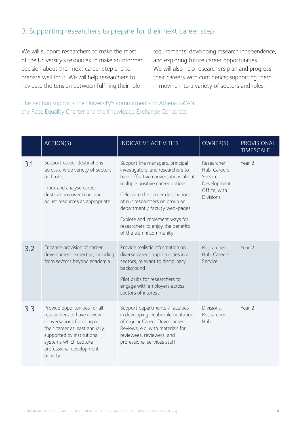## 3. Supporting researchers to prepare for their next career step

We will support researchers to make the most of the University's resources to make an informed decision about their next career step and to prepare well for it. We will help researchers to navigate the tension between fulfilling their role

requirements, developing research independence, and exploring future career opportunities. We will also help researchers plan and progress their careers with confidence; supporting them in moving into a variety of sectors and roles.

This section supports the University's commitments to Athena SWAN, the Race Equality Charter and the Knowledge Exchange Concordat.

|     | ACTION(S)                                                                                                                                                                                                                  | <b>INDICATIVE ACTIVITIES</b>                                                                                                                                                                                                                                                                                                                               | OWNER(S)                                                                                  | PROVISIONAL<br><b>TIMESCALE</b> |
|-----|----------------------------------------------------------------------------------------------------------------------------------------------------------------------------------------------------------------------------|------------------------------------------------------------------------------------------------------------------------------------------------------------------------------------------------------------------------------------------------------------------------------------------------------------------------------------------------------------|-------------------------------------------------------------------------------------------|---------------------------------|
| 3.1 | Support career destinations<br>across a wide variety of sectors<br>and roles;<br>Track and analyse career<br>destinations over time, and<br>adjust resources as appropriate                                                | Support line managers, principal<br>investigators, and researchers to<br>have effective conversations about<br>multiple positive career options<br>Celebrate the career destinations<br>of our researchers on group or<br>department / faculty web-pages<br>Explore and implement ways for<br>researchers to enjoy the benefits<br>of the alumni community | Researcher<br>Hub, Careers<br>Service,<br>Development<br>Office; with<br><b>Divisions</b> | Year 2                          |
| 3.2 | Enhance provision of career<br>development expertise, including<br>from sectors beyond academia                                                                                                                            | Provide realistic information on<br>diverse career opportunities in all<br>sectors, relevant to disciplinary<br>background<br>Pilot clubs for researchers to<br>engage with employers across<br>sectors of interest                                                                                                                                        | Researcher<br>Hub, Careers<br>Service                                                     | Year 2                          |
| 3.3 | Provide opportunities for all<br>researchers to have review<br>conversations focusing on<br>their career at least annually,<br>supported by institutional<br>systems which capture<br>professional development<br>activity | Support departments / faculties<br>in developing local implementation<br>of regular Career Development<br>Reviews, e.g. with materials for<br>reviewees, reviewers, and<br>professional services staff                                                                                                                                                     | Divisions,<br>Researcher<br>Hub                                                           | Year 2                          |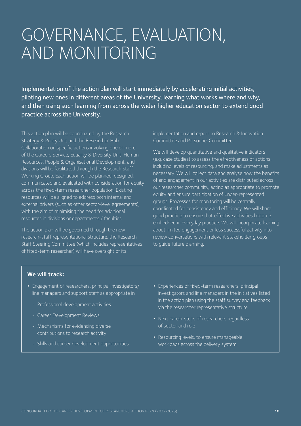# GOVERNANCE, EVALUATION, AND MONITORING

Implementation of the action plan will start immediately by accelerating initial activities, piloting new ones in different areas of the University, learning what works where and why, and then using such learning from across the wider higher education sector to extend good practice across the University.

This action plan will be coordinated by the Research Strategy & Policy Unit and the Researcher Hub. Collaboration on specific actions involving one or more of the Careers Service, Equality & Diversity Unit, Human Resources, People & Organisational Development, and divisions will be facilitated through the Research Staff Working Group. Each action will be planned, designed, communicated and evaluated with consideration for equity across the fixed-term researcher population. Existing resources will be aligned to address both internal and external drivers (such as other sector-level agreements), with the aim of minimising the need for additional resources in divisions or departments / faculties.

The action plan will be governed through the new research-staff representational structure; the Research Staff Steering Committee (which includes representatives of fixed-term researcher) will have oversight of its

implementation and report to Research & Innovation Committee and Personnel Committee.

We will develop quantitative and qualitative indicators (e.g. case studies) to assess the effectiveness of actions, including levels of resourcing, and make adjustments as necessary. We will collect data and analyse how the benefits of and engagement in our activities are distributed across our researcher community, acting as appropriate to promote equity and ensure participation of under-represented groups. Processes for monitoring will be centrally coordinated for consistency and efficiency. We will share good practice to ensure that effective activities become embedded in everyday practice. We will incorporate learning about limited engagement or less successful activity into review conversations with relevant stakeholder groups to guide future planning.

### **We will track:**

- Engagement of researchers, principal investigators/ line managers and support staff as appropriate in
	- Professional development activities
	- Career Development Reviews
	- Mechanisms for evidencing diverse contributions to research activity
	- Skills and career development opportunities
- **•** Experiences of fixed-term researchers, principal investigators and line managers in the initiatives listed in the action plan using the staff survey and feedback via the researcher representative structure
- **•** Next career steps of researchers regardless of sector and role
- **•** Resourcing levels, to ensure manageable workloads across the delivery system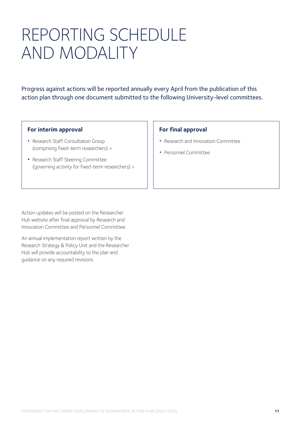# REPORTING SCHEDULE AND MODALITY

Progress against actions will be reported annually every April from the publication of this action plan through one document submitted to the following University-level committees.

### **For interim approval**

- **•** [Research Staff Consultation Group](https://www.ox.ac.uk/research/support-researchers/research-staff-committees) [\(comprising fixed-term researchers\) >](https://www.ox.ac.uk/research/support-researchers/research-staff-committees)
- **•** [Research Staff Steering Committee](https://www.ox.ac.uk/research/support-researchers/research-staff-committees) [\(governing activity for fixed-term researchers\) >](https://www.ox.ac.uk/research/support-researchers/research-staff-committees)

### **For final approval**

- **•** Research and Innovation Committee
- **•** Personnel Committee

Action updates will be posted on the Researcher Hub website after final approval by Research and Innovation Committee and Personnel Committee.

An annual implementation report written by the Research Strategy & Policy Unit and the Researcher Hub will provide accountability to the plan and guidance on any required revisions.